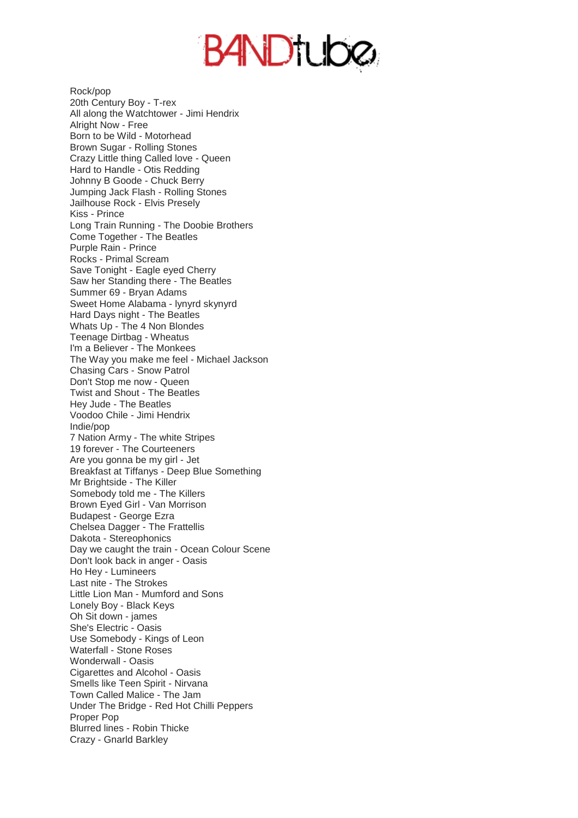**BANDTUDØ** 

Rock/pop 20th Century Boy - T-rex All along the Watchtower - Jimi Hendrix Alright Now - Free Born to be Wild - Motorhead Brown Sugar - Rolling Stones Crazy Little thing Called love - Queen Hard to Handle - Otis Redding Johnny B Goode - Chuck Berry Jumping Jack Flash - Rolling Stones Jailhouse Rock - Elvis Presely Kiss - Prince Long Train Running - The Doobie Brothers Come Together - The Beatles Purple Rain - Prince Rocks - Primal Scream Save Tonight - Eagle eyed Cherry Saw her Standing there - The Beatles Summer 69 - Bryan Adams Sweet Home Alabama - lynyrd skynyrd Hard Days night - The Beatles Whats Up - The 4 Non Blondes Teenage Dirtbag - Wheatus I'm a Believer - The Monkees The Way you make me feel - Michael Jackson Chasing Cars - Snow Patrol Don't Stop me now - Queen Twist and Shout - The Beatles Hey Jude - The Beatles Voodoo Chile - Jimi Hendrix Indie/pop 7 Nation Army - The white Stripes 19 forever - The Courteeners Are you gonna be my girl - Jet Breakfast at Tiffanys - Deep Blue Something Mr Brightside - The Killer Somebody told me - The Killers Brown Eyed Girl - Van Morrison Budapest - George Ezra Chelsea Dagger - The Frattellis Dakota - Stereophonics Day we caught the train - Ocean Colour Scene Don't look back in anger - Oasis Ho Hey - Lumineers Last nite - The Strokes Little Lion Man - Mumford and Sons Lonely Boy - Black Keys Oh Sit down - james She's Electric - Oasis Use Somebody - Kings of Leon Waterfall - Stone Roses Wonderwall - Oasis Cigarettes and Alcohol - Oasis Smells like Teen Spirit - Nirvana Town Called Malice - The Jam Under The Bridge - Red Hot Chilli Peppers Proper Pop Blurred lines - Robin Thicke Crazy - Gnarld Barkley